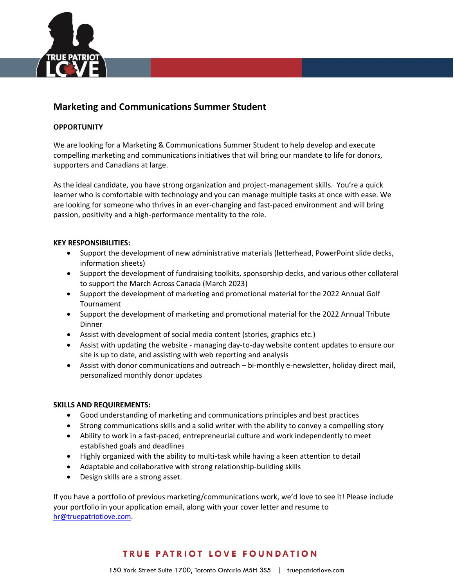

## **Marketing and Communications Summer Student**

#### **OPPORTUNITY**

We are looking for a Marketing & Communications Summer Student to help develop and execute compelling marketing and communications initiatives that will bring our mandate to life for donors, supporters and Canadians at large.

As the ideal candidate, you have strong organization and project-management skills. You're a quick learner who is comfortable with technology and you can manage multiple tasks at once with ease. We are looking for someone who thrives in an ever-changing and fast-paced environment and will bring passion, positivity and a high-performance mentality to the role.

#### **KEY RESPONSIBILITIES:**

- Support the development of new administrative materials (letterhead, PowerPoint slide decks, information sheets)
- Support the development of fundraising toolkits, sponsorship decks, and various other collateral to support the March Across Canada (March 2023)
- Support the development of marketing and promotional material for the 2022 Annual Golf Tournament
- Support the development of marketing and promotional material for the 2022 Annual Tribute **Dinner**
- Assist with development of social media content (stories, graphics etc.)
- Assist with updating the website managing day-to-day website content updates to ensure our site is up to date, and assisting with web reporting and analysis
- Assist with donor communications and outreach bi-monthly e-newsletter, holiday direct mail, personalized monthly donor updates

#### **SKILLS AND REQUIREMENTS:**

- Good understanding of marketing and communications principles and best practices
- Strong communications skills and a solid writer with the ability to convey a compelling story
- Ability to work in a fast-paced, entrepreneurial culture and work independently to meet established goals and deadlines
- Highly organized with the ability to multi-task while having a keen attention to detail
- Adaptable and collaborative with strong relationship-building skills
- Design skills are a strong asset.

If you have a portfolio of previous marketing/communications work, we'd love to see it! Please include your portfolio in your application email, along with your cover letter and resume to [hr@truepatriotlove.com.](mailto:hr@truepatriotlove.com)

# TRUE PATRIOT LOVE FOUNDATION